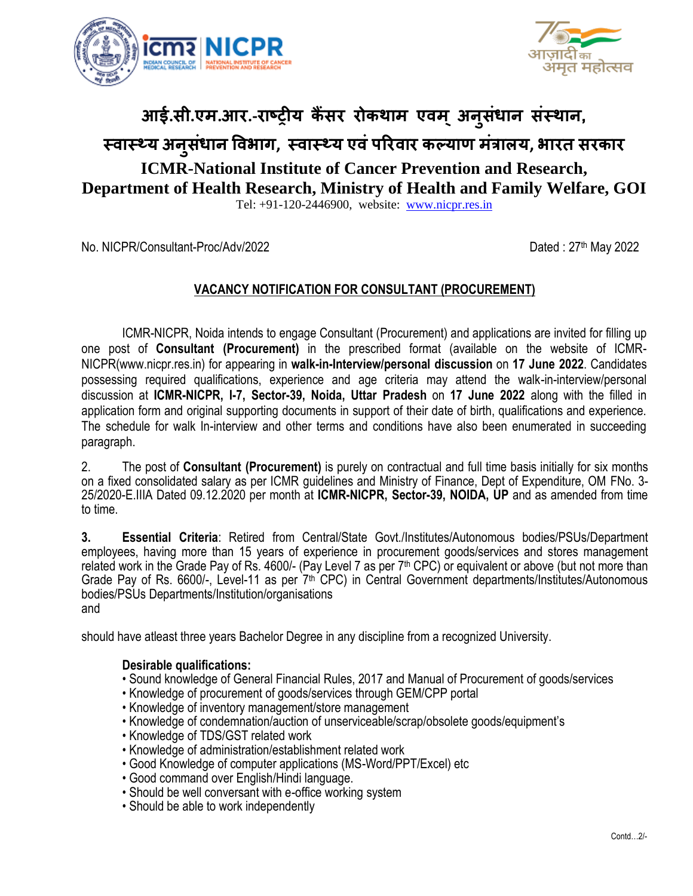



# **आई.सी.एम.आर.-राष्ट्रीय कैंसर रोकथाम एवम ्अन ुसधं ान संस्थान,**

# **स्वास््य अन ुसधं ान ववभाग, स्वास््य एवंऩररवार कल्याण मंत्राऱय, भारत सरकार**

## **ICMR-National Institute of Cancer Prevention and Research, Department of Health Research, Ministry of Health and Family Welfare, GOI**

Tel: +91-120-2446900, website: [www.nicpr.res.in](http://www.nicpr.res.in/)

No. NICPR/Consultant-Proc/Adv/2022

Dated:  $27<sup>th</sup>$  May 2022

### **VACANCY NOTIFICATION FOR CONSULTANT (PROCUREMENT)**

ICMR-NICPR, Noida intends to engage Consultant (Procurement) and applications are invited for filling up one post of **Consultant (Procurement)** in the prescribed format (available on the website of ICMR-NICPR(www.nicpr.res.in) for appearing in **walk-in-Interview/personal discussion** on **17 June 2022**. Candidates possessing required qualifications, experience and age criteria may attend the walk-in-interview/personal discussion at **ICMR-NICPR, I-7, Sector-39, Noida, Uttar Pradesh** on **17 June 2022** along with the filled in application form and original supporting documents in support of their date of birth, qualifications and experience. The schedule for walk In-interview and other terms and conditions have also been enumerated in succeeding paragraph.

2. The post of **Consultant (Procurement)** is purely on contractual and full time basis initially for six months on a fixed consolidated salary as per ICMR guidelines and Ministry of Finance, Dept of Expenditure, OM FNo. 3- 25/2020-E.IIIA Dated 09.12.2020 per month at **ICMR-NICPR, Sector-39, NOIDA, UP** and as amended from time to time.

**3. Essential Criteria**: Retired from Central/State Govt./Institutes/Autonomous bodies/PSUs/Department employees, having more than 15 years of experience in procurement goods/services and stores management related work in the Grade Pay of Rs. 4600/- (Pay Level 7 as per 7<sup>th</sup> CPC) or equivalent or above (but not more than Grade Pay of Rs. 6600/-, Level-11 as per 7<sup>th</sup> CPC) in Central Government departments/Institutes/Autonomous bodies/PSUs Departments/Institution/organisations and

should have atleast three years Bachelor Degree in any discipline from a recognized University.

#### **Desirable qualifications:**

- Sound knowledge of General Financial Rules, 2017 and Manual of Procurement of goods/services
- Knowledge of procurement of goods/services through GEM/CPP portal
- Knowledge of inventory management/store management
- Knowledge of condemnation/auction of unserviceable/scrap/obsolete goods/equipment's
- Knowledge of TDS/GST related work
- Knowledge of administration/establishment related work
- Good Knowledge of computer applications (MS-Word/PPT/Excel) etc
- Good command over English/Hindi language.
- Should be well conversant with e-office working system
- Should be able to work independently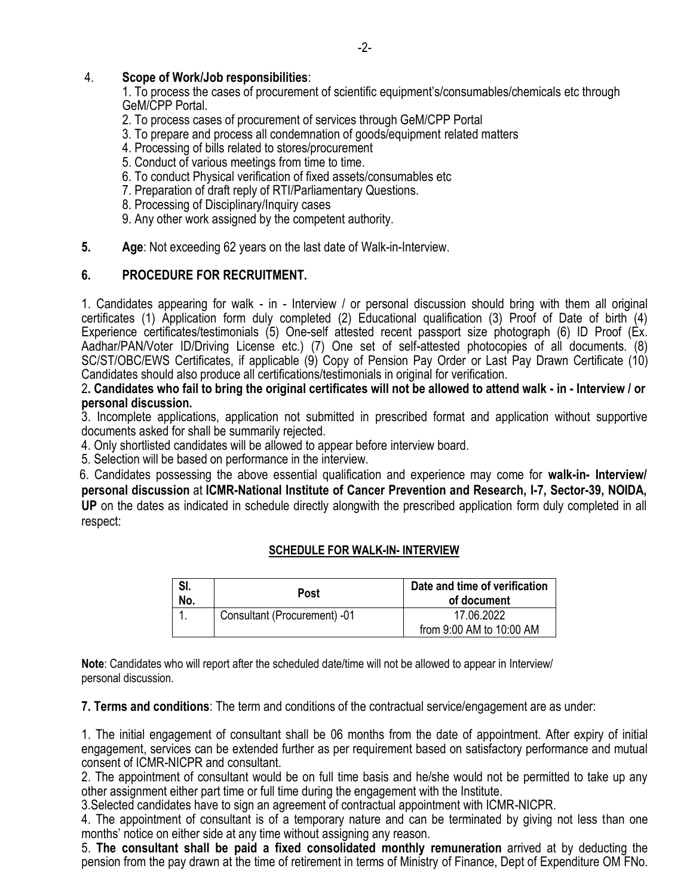#### 4. **Scope of Work/Job responsibilities**:

1. To process the cases of procurement of scientific equipment's/consumables/chemicals etc through GeM/CPP Portal.

- 2. To process cases of procurement of services through GeM/CPP Portal
- 3. To prepare and process all condemnation of goods/equipment related matters
- 4. Processing of bills related to stores/procurement
- 5. Conduct of various meetings from time to time.
- 6. To conduct Physical verification of fixed assets/consumables etc
- 7. Preparation of draft reply of RTI/Parliamentary Questions.
- 8. Processing of Disciplinary/Inquiry cases
- 9. Any other work assigned by the competent authority.
- **5. Age**: Not exceeding 62 years on the last date of Walk-in-Interview.

### **6. PROCEDURE FOR RECRUITMENT.**

1. Candidates appearing for walk - in - Interview / or personal discussion should bring with them all original certificates (1) Application form duly completed (2) Educational qualification (3) Proof of Date of birth (4) Experience certificates/testimonials (5) One-self attested recent passport size photograph (6) ID Proof (Ex. Aadhar/PAN/Voter ID/Driving License etc.) (7) One set of self-attested photocopies of all documents. (8) SC/ST/OBC/EWS Certificates, if applicable (9) Copy of Pension Pay Order or Last Pay Drawn Certificate (10) Candidates should also produce all certifications/testimonials in original for verification.

2**. Candidates who fail to bring the original certificates will not be allowed to attend walk - in - Interview / or personal discussion.** 

3. Incomplete applications, application not submitted in prescribed format and application without supportive documents asked for shall be summarily rejected.

4. Only shortlisted candidates will be allowed to appear before interview board.

5. Selection will be based on performance in the interview.

 6. Candidates possessing the above essential qualification and experience may come for **walk-in- Interview/ personal discussion** at **ICMR-National Institute of Cancer Prevention and Research, I-7, Sector-39, NOIDA, UP** on the dates as indicated in schedule directly alongwith the prescribed application form duly completed in all respect:

#### **SCHEDULE FOR WALK-IN- INTERVIEW**

| SI.<br>No. | Post                         | Date and time of verification<br>of document |
|------------|------------------------------|----------------------------------------------|
|            | Consultant (Procurement) -01 | 17.06.2022<br>from 9:00 AM to 10:00 AM       |

**Note**: Candidates who will report after the scheduled date/time will not be allowed to appear in Interview/ personal discussion.

**7. Terms and conditions**: The term and conditions of the contractual service/engagement are as under:

1. The initial engagement of consultant shall be 06 months from the date of appointment. After expiry of initial engagement, services can be extended further as per requirement based on satisfactory performance and mutual consent of ICMR-NICPR and consultant.

2. The appointment of consultant would be on full time basis and he/she would not be permitted to take up any other assignment either part time or full time during the engagement with the Institute.

3.Selected candidates have to sign an agreement of contractual appointment with ICMR-NICPR.

4. The appointment of consultant is of a temporary nature and can be terminated by giving not less than one months' notice on either side at any time without assigning any reason.

5. **The consultant shall be paid a fixed consolidated monthly remuneration** arrived at by deducting the pension from the pay drawn at the time of retirement in terms of Ministry of Finance, Dept of Expenditure OM FNo.